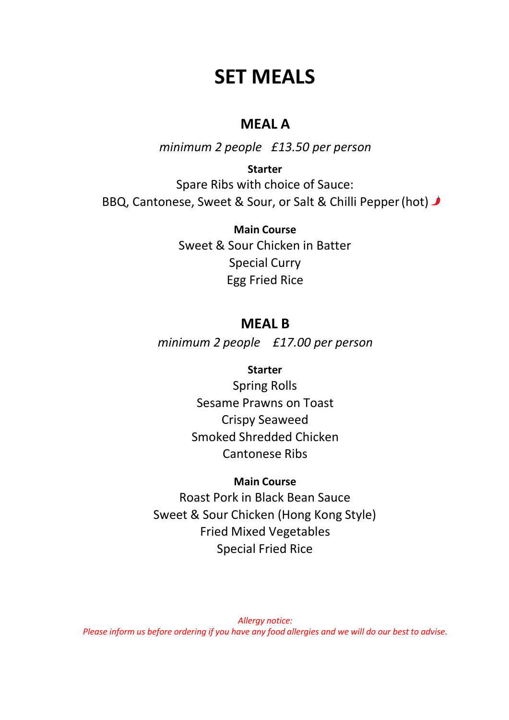# **SET MEALS**

# **MEAL A**

*minimum 2 people £13.50 per person*

**Starter**  Spare Ribs with choice of Sauce: BBQ, Cantonese, Sweet & Sour, or Salt & Chilli Pepper (hot)

> **Main Course**  Sweet & Sour Chicken in Batter Special Curry Egg Fried Rice

# **MEAL B**

*minimum 2 people £17.00 per person*

### **Starter**

Spring Rolls Sesame Prawns on Toast Crispy Seaweed Smoked Shredded Chicken Cantonese Ribs

## **Main Course**

Roast Pork in Black Bean Sauce Sweet & Sour Chicken (Hong Kong Style) Fried Mixed Vegetables Special Fried Rice